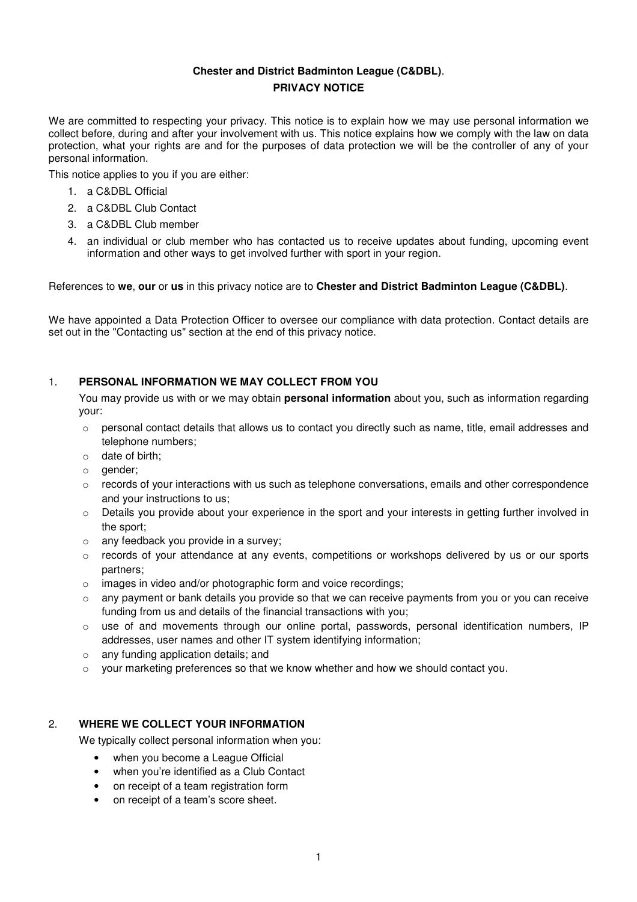# **Chester and District Badminton League (C&DBL)**. **PRIVACY NOTICE**

We are committed to respecting your privacy. This notice is to explain how we may use personal information we collect before, during and after your involvement with us. This notice explains how we comply with the law on data protection, what your rights are and for the purposes of data protection we will be the controller of any of your personal information.

This notice applies to you if you are either:

- 1. a C&DBL Official
- 2. a C&DBL Club Contact
- 3. a C&DBL Club member
- 4. an individual or club member who has contacted us to receive updates about funding, upcoming event information and other ways to get involved further with sport in your region.

References to **we**, **our** or **us** in this privacy notice are to **Chester and District Badminton League (C&DBL)**.

We have appointed a Data Protection Officer to oversee our compliance with data protection. Contact details are set out in the "Contacting us" section at the end of this privacy notice.

### 1. **PERSONAL INFORMATION WE MAY COLLECT FROM YOU**

You may provide us with or we may obtain **personal information** about you, such as information regarding your:

- o personal contact details that allows us to contact you directly such as name, title, email addresses and telephone numbers;
- o date of birth;
- o gender;
- $\circ$  records of your interactions with us such as telephone conversations, emails and other correspondence and your instructions to us;
- $\circ$  Details you provide about your experience in the sport and your interests in getting further involved in the sport;
- o any feedback you provide in a survey;
- o records of your attendance at any events, competitions or workshops delivered by us or our sports partners;
- o images in video and/or photographic form and voice recordings;
- $\circ$  any payment or bank details you provide so that we can receive payments from you or you can receive funding from us and details of the financial transactions with you;
- o use of and movements through our online portal, passwords, personal identification numbers, IP addresses, user names and other IT system identifying information;
- o any funding application details; and
- $\circ$  your marketing preferences so that we know whether and how we should contact you.

## 2. **WHERE WE COLLECT YOUR INFORMATION**

We typically collect personal information when you:

- when you become a League Official
- when you're identified as a Club Contact
- on receipt of a team registration form
- on receipt of a team's score sheet.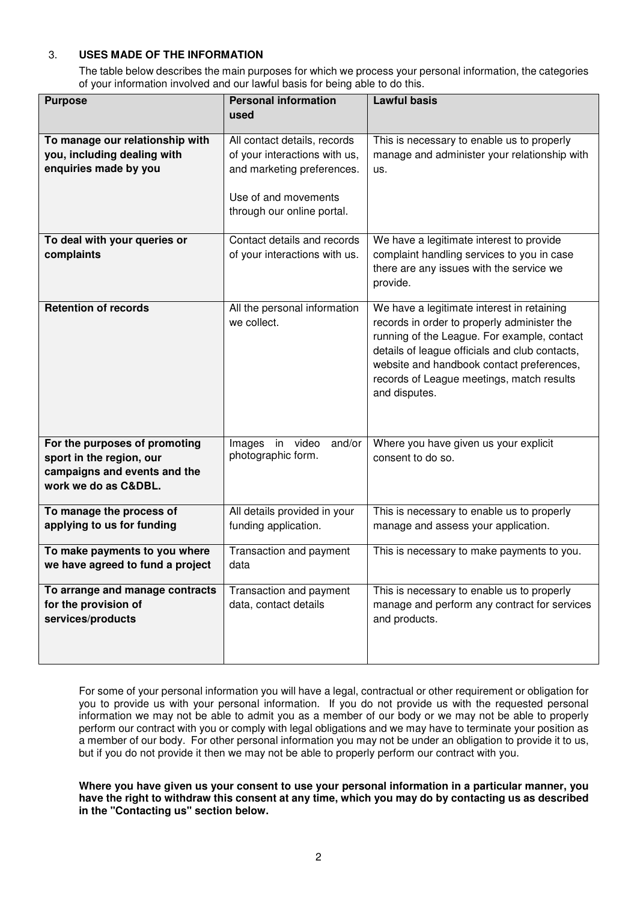## 3. **USES MADE OF THE INFORMATION**

The table below describes the main purposes for which we process your personal information, the categories of your information involved and our lawful basis for being able to do this.

| <b>Purpose</b>                                                                                                    | <b>Personal information</b>                                                                                                                       | <b>Lawful basis</b>                                                                                                                                                                                                                                                                                   |
|-------------------------------------------------------------------------------------------------------------------|---------------------------------------------------------------------------------------------------------------------------------------------------|-------------------------------------------------------------------------------------------------------------------------------------------------------------------------------------------------------------------------------------------------------------------------------------------------------|
|                                                                                                                   | used                                                                                                                                              |                                                                                                                                                                                                                                                                                                       |
| To manage our relationship with<br>you, including dealing with<br>enquiries made by you                           | All contact details, records<br>of your interactions with us,<br>and marketing preferences.<br>Use of and movements<br>through our online portal. | This is necessary to enable us to properly<br>manage and administer your relationship with<br>us.                                                                                                                                                                                                     |
| To deal with your queries or<br>complaints                                                                        | Contact details and records<br>of your interactions with us.                                                                                      | We have a legitimate interest to provide<br>complaint handling services to you in case<br>there are any issues with the service we<br>provide.                                                                                                                                                        |
| <b>Retention of records</b>                                                                                       | All the personal information<br>we collect.                                                                                                       | We have a legitimate interest in retaining<br>records in order to properly administer the<br>running of the League. For example, contact<br>details of league officials and club contacts,<br>website and handbook contact preferences,<br>records of League meetings, match results<br>and disputes. |
| For the purposes of promoting<br>sport in the region, our<br>campaigns and events and the<br>work we do as C&DBL. | in video<br>Images<br>and/or<br>photographic form.                                                                                                | Where you have given us your explicit<br>consent to do so.                                                                                                                                                                                                                                            |
| To manage the process of<br>applying to us for funding                                                            | All details provided in your<br>funding application.                                                                                              | This is necessary to enable us to properly<br>manage and assess your application.                                                                                                                                                                                                                     |
| To make payments to you where<br>we have agreed to fund a project                                                 | Transaction and payment<br>data                                                                                                                   | This is necessary to make payments to you.                                                                                                                                                                                                                                                            |
| To arrange and manage contracts<br>for the provision of<br>services/products                                      | Transaction and payment<br>data, contact details                                                                                                  | This is necessary to enable us to properly<br>manage and perform any contract for services<br>and products.                                                                                                                                                                                           |

For some of your personal information you will have a legal, contractual or other requirement or obligation for you to provide us with your personal information. If you do not provide us with the requested personal information we may not be able to admit you as a member of our body or we may not be able to properly perform our contract with you or comply with legal obligations and we may have to terminate your position as a member of our body. For other personal information you may not be under an obligation to provide it to us, but if you do not provide it then we may not be able to properly perform our contract with you.

**Where you have given us your consent to use your personal information in a particular manner, you have the right to withdraw this consent at any time, which you may do by contacting us as described in the "Contacting us" section below.**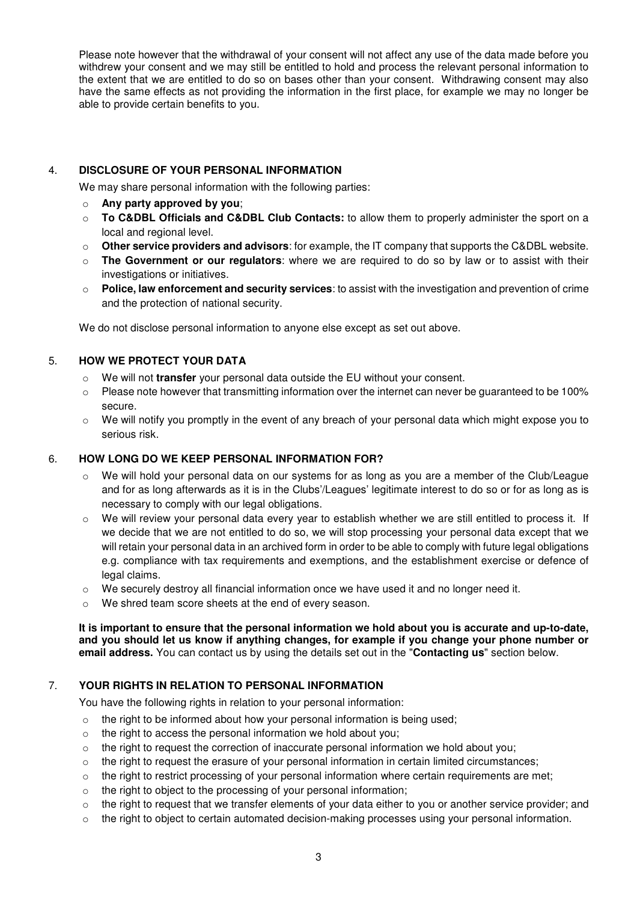Please note however that the withdrawal of your consent will not affect any use of the data made before you withdrew your consent and we may still be entitled to hold and process the relevant personal information to the extent that we are entitled to do so on bases other than your consent. Withdrawing consent may also have the same effects as not providing the information in the first place, for example we may no longer be able to provide certain benefits to you.

## 4. **DISCLOSURE OF YOUR PERSONAL INFORMATION**

We may share personal information with the following parties:

- o **Any party approved by you**;
- o **To C&DBL Officials and C&DBL Club Contacts:** to allow them to properly administer the sport on a local and regional level.
- o **Other service providers and advisors**: for example, the IT company that supports the C&DBL website.
- o **The Government or our regulators**: where we are required to do so by law or to assist with their investigations or initiatives.
- o **Police, law enforcement and security services**: to assist with the investigation and prevention of crime and the protection of national security.

We do not disclose personal information to anyone else except as set out above.

### 5. **HOW WE PROTECT YOUR DATA**

- o We will not **transfer** your personal data outside the EU without your consent.
- $\circ$  Please note however that transmitting information over the internet can never be quaranteed to be 100% secure.
- $\circ$  We will notify you promptly in the event of any breach of your personal data which might expose you to serious risk.

### 6. **HOW LONG DO WE KEEP PERSONAL INFORMATION FOR?**

- $\circ$  We will hold your personal data on our systems for as long as you are a member of the Club/League and for as long afterwards as it is in the Clubs'/Leagues' legitimate interest to do so or for as long as is necessary to comply with our legal obligations.
- $\circ$  We will review your personal data every year to establish whether we are still entitled to process it. If we decide that we are not entitled to do so, we will stop processing your personal data except that we will retain your personal data in an archived form in order to be able to comply with future legal obligations e.g. compliance with tax requirements and exemptions, and the establishment exercise or defence of legal claims.
- $\circ$  We securely destroy all financial information once we have used it and no longer need it.
- o We shred team score sheets at the end of every season.

**It is important to ensure that the personal information we hold about you is accurate and up-to-date, and you should let us know if anything changes, for example if you change your phone number or email address.** You can contact us by using the details set out in the "**Contacting us**" section below.

## 7. **YOUR RIGHTS IN RELATION TO PERSONAL INFORMATION**

You have the following rights in relation to your personal information:

- o the right to be informed about how your personal information is being used;
- $\circ$  the right to access the personal information we hold about you:
- $\circ$  the right to request the correction of inaccurate personal information we hold about you;
- $\circ$  the right to request the erasure of your personal information in certain limited circumstances;
- $\circ$  the right to restrict processing of your personal information where certain requirements are met;
- o the right to object to the processing of your personal information;
- $\circ$  the right to request that we transfer elements of your data either to you or another service provider; and
- $\circ$  the right to object to certain automated decision-making processes using your personal information.